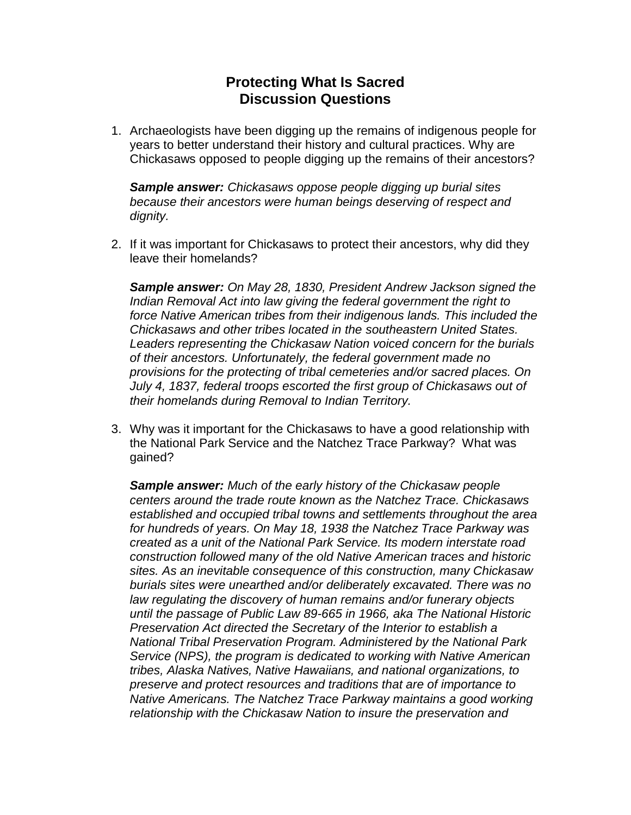## **Protecting What Is Sacred Discussion Questions**

1. Archaeologists have been digging up the remains of indigenous people for years to better understand their history and cultural practices. Why are Chickasaws opposed to people digging up the remains of their ancestors?

*Sample answer: Chickasaws oppose people digging up burial sites because their ancestors were human beings deserving of respect and dignity.*

2. If it was important for Chickasaws to protect their ancestors, why did they leave their homelands?

*Sample answer: On May 28, 1830, President Andrew Jackson signed the Indian Removal Act into law giving the federal government the right to force Native American tribes from their indigenous lands. This included the Chickasaws and other tribes located in the southeastern United States. Leaders representing the Chickasaw Nation voiced concern for the burials of their ancestors. Unfortunately, the federal government made no provisions for the protecting of tribal cemeteries and/or sacred places. On July 4, 1837, federal troops escorted the first group of Chickasaws out of their homelands during Removal to Indian Territory.*

3. Why was it important for the Chickasaws to have a good relationship with the National Park Service and the Natchez Trace Parkway? What was gained?

*Sample answer: Much of the early history of the Chickasaw people centers around the trade route known as the Natchez Trace. Chickasaws established and occupied tribal towns and settlements throughout the area for hundreds of years. On May 18, 1938 the Natchez Trace Parkway was created as a unit of the National Park Service. Its modern interstate road construction followed many of the old Native American traces and historic sites. As an inevitable consequence of this construction, many Chickasaw burials sites were unearthed and/or deliberately excavated. There was no law regulating the discovery of human remains and/or funerary objects until the passage of Public Law 89-665 in 1966, aka The National Historic Preservation Act directed the Secretary of the Interior to establish a National Tribal Preservation Program. Administered by the National Park Service (NPS), the program is dedicated to working with Native American tribes, Alaska Natives, Native Hawaiians, and national organizations, to preserve and protect resources and traditions that are of importance to Native Americans. The Natchez Trace Parkway maintains a good working relationship with the Chickasaw Nation to insure the preservation and*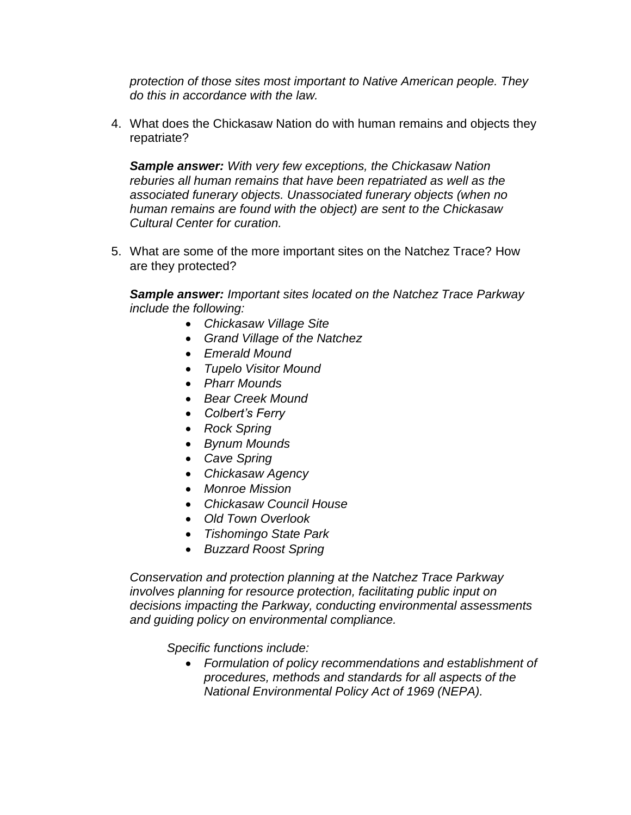*protection of those sites most important to Native American people. They do this in accordance with the law.*

4. What does the Chickasaw Nation do with human remains and objects they repatriate?

*Sample answer: With very few exceptions, the Chickasaw Nation reburies all human remains that have been repatriated as well as the associated funerary objects. Unassociated funerary objects (when no human remains are found with the object) are sent to the Chickasaw Cultural Center for curation.*

5. What are some of the more important sites on the Natchez Trace? How are they protected?

*Sample answer: Important sites located on the Natchez Trace Parkway include the following:*

- *Chickasaw Village Site*
- *Grand Village of the Natchez*
- *Emerald Mound*
- *Tupelo Visitor Mound*
- *Pharr Mounds*
- *Bear Creek Mound*
- *Colbert's Ferry*
- *Rock Spring*
- *Bynum Mounds*
- *Cave Spring*
- *Chickasaw Agency*
- *Monroe Mission*
- *Chickasaw Council House*
- *Old Town Overlook*
- *Tishomingo State Park*
- *Buzzard Roost Spring*

*Conservation and protection planning at the Natchez Trace Parkway involves planning for resource protection, facilitating public input on decisions impacting the Parkway, conducting environmental assessments and guiding policy on environmental compliance.*

*Specific functions include:*

 *Formulation of policy recommendations and establishment of procedures, methods and standards for all aspects of the National Environmental Policy Act of 1969 (NEPA).*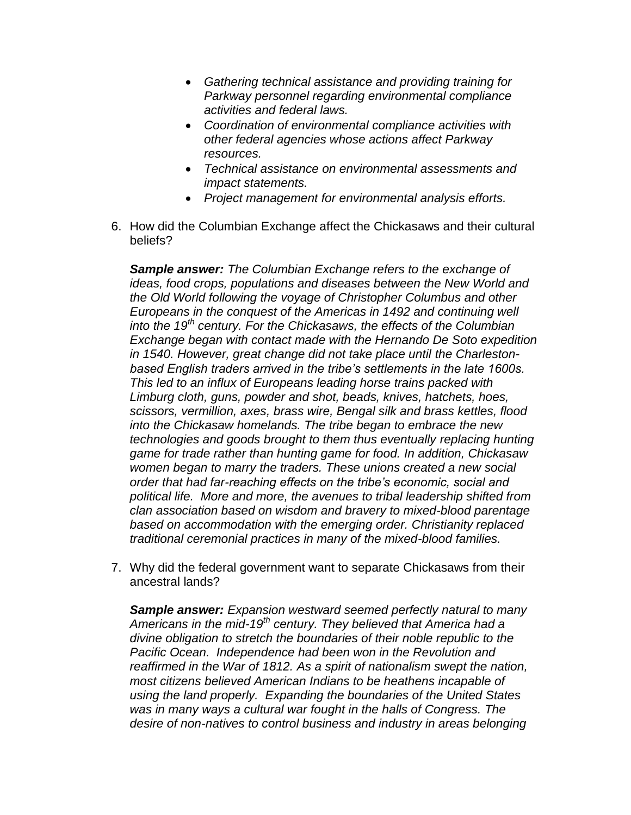- *Gathering technical assistance and providing training for Parkway personnel regarding environmental compliance activities and federal laws.*
- *Coordination of environmental compliance activities with other federal agencies whose actions affect Parkway resources.*
- *Technical assistance on environmental assessments and impact statements.*
- *Project management for environmental analysis efforts.*
- 6. How did the Columbian Exchange affect the Chickasaws and their cultural beliefs?

*Sample answer: The Columbian Exchange refers to the exchange of ideas, food crops, populations and diseases between the New World and the Old World following the voyage of Christopher Columbus and other Europeans in the conquest of the Americas in 1492 and continuing well into the 19th century. For the Chickasaws, the effects of the Columbian Exchange began with contact made with the Hernando De Soto expedition in 1540. However, great change did not take place until the Charlestonbased English traders arrived in the tribe's settlements in the late 1600s. This led to an influx of Europeans leading horse trains packed with Limburg cloth, guns, powder and shot, beads, knives, hatchets, hoes, scissors, vermillion, axes, brass wire, Bengal silk and brass kettles, flood into the Chickasaw homelands. The tribe began to embrace the new technologies and goods brought to them thus eventually replacing hunting game for trade rather than hunting game for food. In addition, Chickasaw women began to marry the traders. These unions created a new social order that had far-reaching effects on the tribe's economic, social and political life. More and more, the avenues to tribal leadership shifted from clan association based on wisdom and bravery to mixed-blood parentage based on accommodation with the emerging order. Christianity replaced traditional ceremonial practices in many of the mixed-blood families.*

7. Why did the federal government want to separate Chickasaws from their ancestral lands?

*Sample answer: Expansion westward seemed perfectly natural to many Americans in the mid-19th century. They believed that America had a divine obligation to stretch the boundaries of their noble republic to the Pacific Ocean. Independence had been won in the Revolution and reaffirmed in the War of 1812. As a spirit of nationalism swept the nation, most citizens believed American Indians to be heathens incapable of using the land properly. Expanding the boundaries of the United States was in many ways a cultural war fought in the halls of Congress. The desire of non-natives to control business and industry in areas belonging*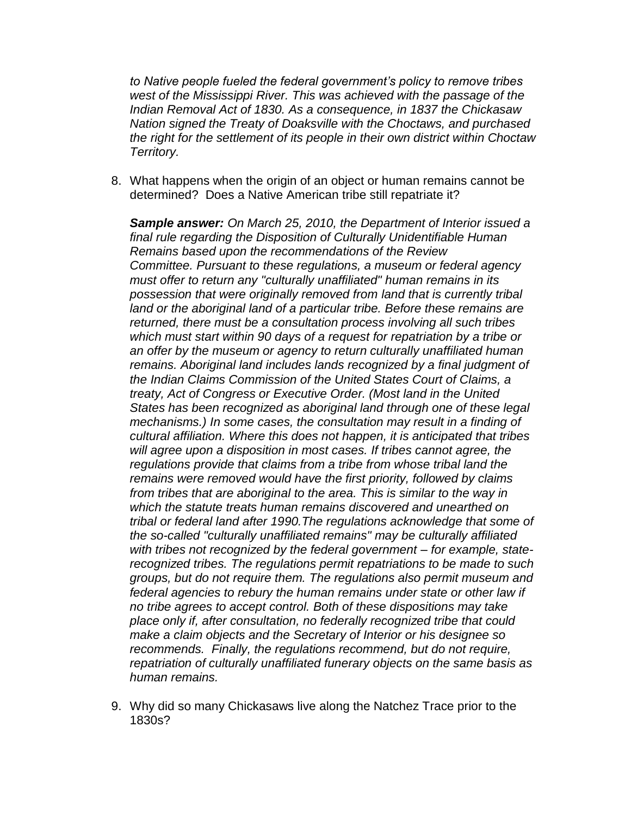*to Native people fueled the federal government's policy to remove tribes west of the Mississippi River. This was achieved with the passage of the Indian Removal Act of 1830. As a consequence, in 1837 the Chickasaw Nation signed the Treaty of Doaksville with the Choctaws, and purchased the right for the settlement of its people in their own district within Choctaw Territory.* 

8. What happens when the origin of an object or human remains cannot be determined? Does a Native American tribe still repatriate it?

*Sample answer: On March 25, 2010, the Department of Interior issued a final rule regarding the Disposition of Culturally Unidentifiable Human Remains based upon the recommendations of the Review Committee. Pursuant to these regulations, a museum or federal agency must offer to return any "culturally unaffiliated" human remains in its possession that were originally removed from land that is currently tribal land or the aboriginal land of a particular tribe. Before these remains are returned, there must be a consultation process involving all such tribes which must start within 90 days of a request for repatriation by a tribe or an offer by the museum or agency to return culturally unaffiliated human remains. Aboriginal land includes lands recognized by a final judgment of the Indian Claims Commission of the United States Court of Claims, a treaty, Act of Congress or Executive Order. (Most land in the United States has been recognized as aboriginal land through one of these legal mechanisms.) In some cases, the consultation may result in a finding of cultural affiliation. Where this does not happen, it is anticipated that tribes will agree upon a disposition in most cases. If tribes cannot agree, the regulations provide that claims from a tribe from whose tribal land the remains were removed would have the first priority, followed by claims from tribes that are aboriginal to the area. This is similar to the way in which the statute treats human remains discovered and unearthed on tribal or federal land after 1990.The regulations acknowledge that some of the so-called "culturally unaffiliated remains" may be culturally affiliated with tribes not recognized by the federal government – for example, staterecognized tribes. The regulations permit repatriations to be made to such groups, but do not require them. The regulations also permit museum and federal agencies to rebury the human remains under state or other law if no tribe agrees to accept control. Both of these dispositions may take place only if, after consultation, no federally recognized tribe that could make a claim objects and the Secretary of Interior or his designee so recommends. Finally, the regulations recommend, but do not require, repatriation of culturally unaffiliated funerary objects on the same basis as human remains.*

9. Why did so many Chickasaws live along the Natchez Trace prior to the 1830s?